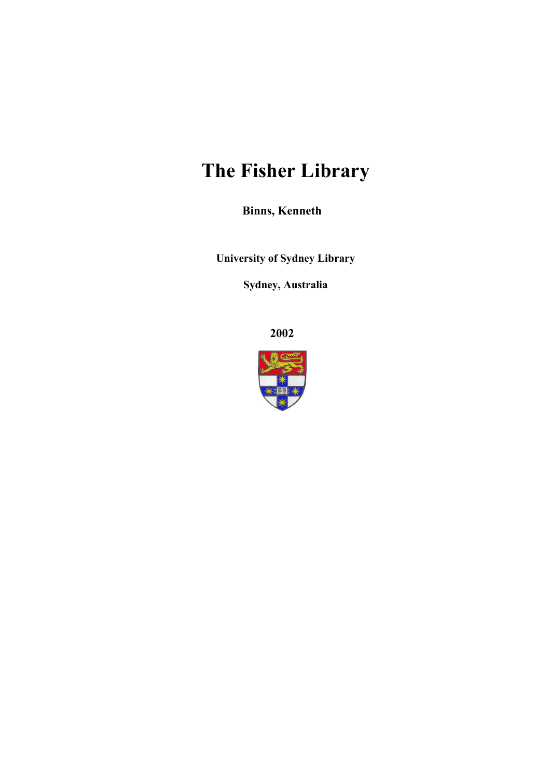# **The Fisher Library**

**Binns, Kenneth**

**University of Sydney Library** 

**Sydney, Australia** 

**2002**

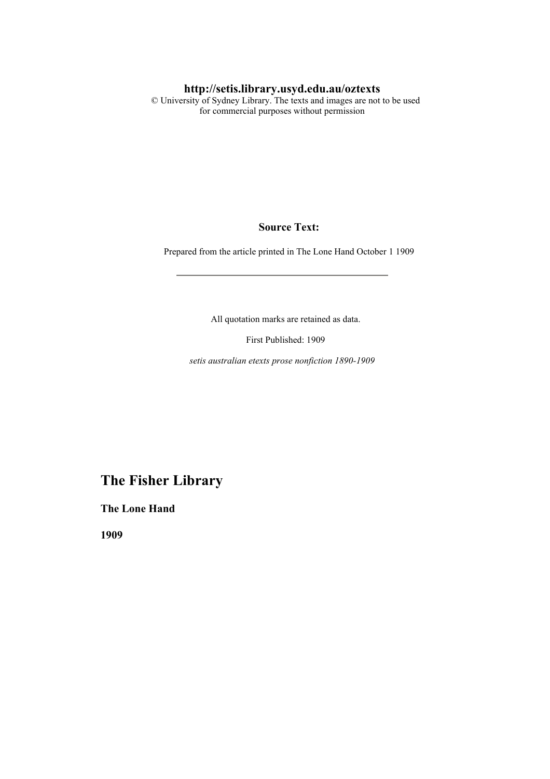#### **http://setis.library.usyd.edu.au/oztexts**

 © University of Sydney Library. The texts and images are not to be used for commercial purposes without permission

#### **Source Text:**

Prepared from the article printed in The Lone Hand October 1 1909

All quotation marks are retained as data.

First Published: 1909

*setis australian etexts prose nonfiction 1890-1909*

### **The Fisher Library**

**The Lone Hand** 

**1909**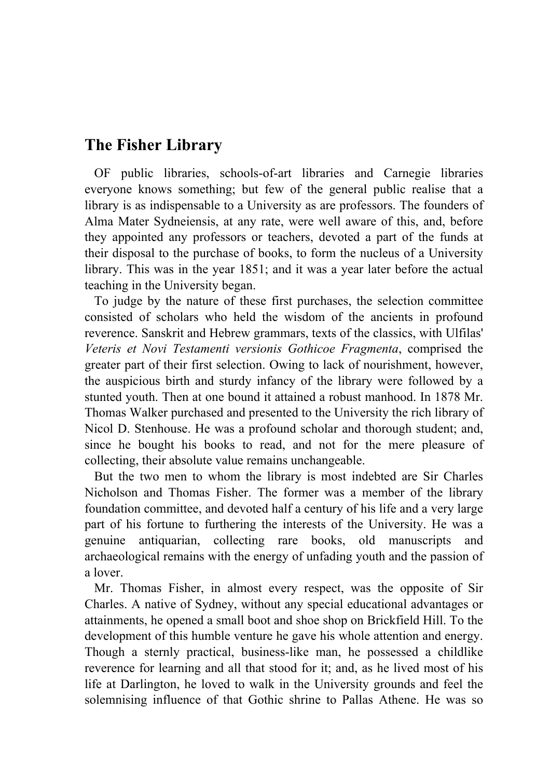## **The Fisher Library**

 OF public libraries, schools-of-art libraries and Carnegie libraries everyone knows something; but few of the general public realise that a library is as indispensable to a University as are professors. The founders of Alma Mater Sydneiensis, at any rate, were well aware of this, and, before they appointed any professors or teachers, devoted a part of the funds at their disposal to the purchase of books, to form the nucleus of a University library. This was in the year 1851; and it was a year later before the actual teaching in the University began.

 To judge by the nature of these first purchases, the selection committee consisted of scholars who held the wisdom of the ancients in profound reverence. Sanskrit and Hebrew grammars, texts of the classics, with Ulfilas' *Veteris et Novi Testamenti versionis Gothicoe Fragmenta*, comprised the greater part of their first selection. Owing to lack of nourishment, however, the auspicious birth and sturdy infancy of the library were followed by a stunted youth. Then at one bound it attained a robust manhood. In 1878 Mr. Thomas Walker purchased and presented to the University the rich library of Nicol D. Stenhouse. He was a profound scholar and thorough student; and, since he bought his books to read, and not for the mere pleasure of collecting, their absolute value remains unchangeable.

 But the two men to whom the library is most indebted are Sir Charles Nicholson and Thomas Fisher. The former was a member of the library foundation committee, and devoted half a century of his life and a very large part of his fortune to furthering the interests of the University. He was a genuine antiquarian, collecting rare books, old manuscripts and archaeological remains with the energy of unfading youth and the passion of a lover.

 Mr. Thomas Fisher, in almost every respect, was the opposite of Sir Charles. A native of Sydney, without any special educational advantages or attainments, he opened a small boot and shoe shop on Brickfield Hill. To the development of this humble venture he gave his whole attention and energy. Though a sternly practical, business-like man, he possessed a childlike reverence for learning and all that stood for it; and, as he lived most of his life at Darlington, he loved to walk in the University grounds and feel the solemnising influence of that Gothic shrine to Pallas Athene. He was so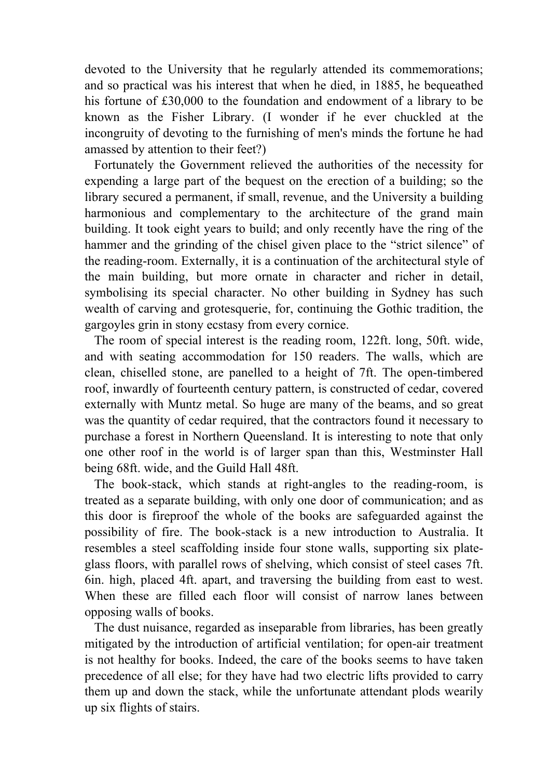devoted to the University that he regularly attended its commemorations; and so practical was his interest that when he died, in 1885, he bequeathed his fortune of £30,000 to the foundation and endowment of a library to be known as the Fisher Library. (I wonder if he ever chuckled at the incongruity of devoting to the furnishing of men's minds the fortune he had amassed by attention to their feet?)

 Fortunately the Government relieved the authorities of the necessity for expending a large part of the bequest on the erection of a building; so the library secured a permanent, if small, revenue, and the University a building harmonious and complementary to the architecture of the grand main building. It took eight years to build; and only recently have the ring of the hammer and the grinding of the chisel given place to the "strict silence" of the reading-room. Externally, it is a continuation of the architectural style of the main building, but more ornate in character and richer in detail, symbolising its special character. No other building in Sydney has such wealth of carving and grotesquerie, for, continuing the Gothic tradition, the gargoyles grin in stony ecstasy from every cornice.

 The room of special interest is the reading room, 122ft. long, 50ft. wide, and with seating accommodation for 150 readers. The walls, which are clean, chiselled stone, are panelled to a height of 7ft. The open-timbered roof, inwardly of fourteenth century pattern, is constructed of cedar, covered externally with Muntz metal. So huge are many of the beams, and so great was the quantity of cedar required, that the contractors found it necessary to purchase a forest in Northern Queensland. It is interesting to note that only one other roof in the world is of larger span than this, Westminster Hall being 68ft. wide, and the Guild Hall 48ft.

 The book-stack, which stands at right-angles to the reading-room, is treated as a separate building, with only one door of communication; and as this door is fireproof the whole of the books are safeguarded against the possibility of fire. The book-stack is a new introduction to Australia. It resembles a steel scaffolding inside four stone walls, supporting six plateglass floors, with parallel rows of shelving, which consist of steel cases 7ft. 6in. high, placed 4ft. apart, and traversing the building from east to west. When these are filled each floor will consist of narrow lanes between opposing walls of books.

 The dust nuisance, regarded as inseparable from libraries, has been greatly mitigated by the introduction of artificial ventilation; for open-air treatment is not healthy for books. Indeed, the care of the books seems to have taken precedence of all else; for they have had two electric lifts provided to carry them up and down the stack, while the unfortunate attendant plods wearily up six flights of stairs.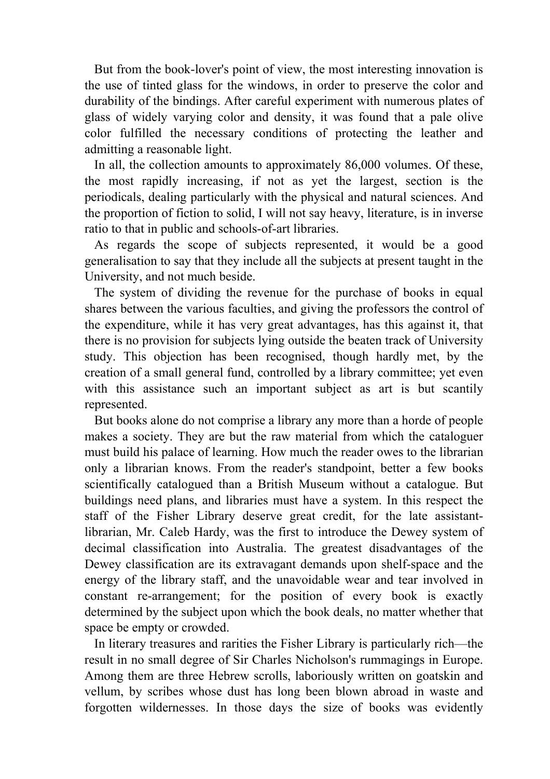But from the book-lover's point of view, the most interesting innovation is the use of tinted glass for the windows, in order to preserve the color and durability of the bindings. After careful experiment with numerous plates of glass of widely varying color and density, it was found that a pale olive color fulfilled the necessary conditions of protecting the leather and admitting a reasonable light.

 In all, the collection amounts to approximately 86,000 volumes. Of these, the most rapidly increasing, if not as yet the largest, section is the periodicals, dealing particularly with the physical and natural sciences. And the proportion of fiction to solid, I will not say heavy, literature, is in inverse ratio to that in public and schools-of-art libraries.

 As regards the scope of subjects represented, it would be a good generalisation to say that they include all the subjects at present taught in the University, and not much beside.

 The system of dividing the revenue for the purchase of books in equal shares between the various faculties, and giving the professors the control of the expenditure, while it has very great advantages, has this against it, that there is no provision for subjects lying outside the beaten track of University study. This objection has been recognised, though hardly met, by the creation of a small general fund, controlled by a library committee; yet even with this assistance such an important subject as art is but scantily represented.

 But books alone do not comprise a library any more than a horde of people makes a society. They are but the raw material from which the cataloguer must build his palace of learning. How much the reader owes to the librarian only a librarian knows. From the reader's standpoint, better a few books scientifically catalogued than a British Museum without a catalogue. But buildings need plans, and libraries must have a system. In this respect the staff of the Fisher Library deserve great credit, for the late assistantlibrarian, Mr. Caleb Hardy, was the first to introduce the Dewey system of decimal classification into Australia. The greatest disadvantages of the Dewey classification are its extravagant demands upon shelf-space and the energy of the library staff, and the unavoidable wear and tear involved in constant re-arrangement; for the position of every book is exactly determined by the subject upon which the book deals, no matter whether that space be empty or crowded.

 In literary treasures and rarities the Fisher Library is particularly rich—the result in no small degree of Sir Charles Nicholson's rummagings in Europe. Among them are three Hebrew scrolls, laboriously written on goatskin and vellum, by scribes whose dust has long been blown abroad in waste and forgotten wildernesses. In those days the size of books was evidently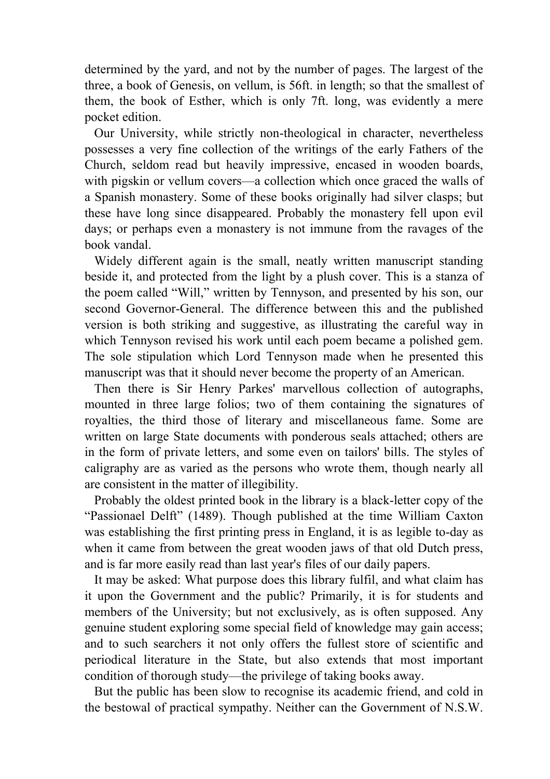determined by the yard, and not by the number of pages. The largest of the three, a book of Genesis, on vellum, is 56ft. in length; so that the smallest of them, the book of Esther, which is only 7ft. long, was evidently a mere pocket edition.

 Our University, while strictly non-theological in character, nevertheless possesses a very fine collection of the writings of the early Fathers of the Church, seldom read but heavily impressive, encased in wooden boards, with pigskin or vellum covers—a collection which once graced the walls of a Spanish monastery. Some of these books originally had silver clasps; but these have long since disappeared. Probably the monastery fell upon evil days; or perhaps even a monastery is not immune from the ravages of the book vandal.

 Widely different again is the small, neatly written manuscript standing beside it, and protected from the light by a plush cover. This is a stanza of the poem called "Will," written by Tennyson, and presented by his son, our second Governor-General. The difference between this and the published version is both striking and suggestive, as illustrating the careful way in which Tennyson revised his work until each poem became a polished gem. The sole stipulation which Lord Tennyson made when he presented this manuscript was that it should never become the property of an American.

 Then there is Sir Henry Parkes' marvellous collection of autographs, mounted in three large folios; two of them containing the signatures of royalties, the third those of literary and miscellaneous fame. Some are written on large State documents with ponderous seals attached; others are in the form of private letters, and some even on tailors' bills. The styles of caligraphy are as varied as the persons who wrote them, though nearly all are consistent in the matter of illegibility.

 Probably the oldest printed book in the library is a black-letter copy of the "Passionael Delft" (1489). Though published at the time William Caxton was establishing the first printing press in England, it is as legible to-day as when it came from between the great wooden jaws of that old Dutch press, and is far more easily read than last year's files of our daily papers.

 It may be asked: What purpose does this library fulfil, and what claim has it upon the Government and the public? Primarily, it is for students and members of the University; but not exclusively, as is often supposed. Any genuine student exploring some special field of knowledge may gain access; and to such searchers it not only offers the fullest store of scientific and periodical literature in the State, but also extends that most important condition of thorough study—the privilege of taking books away.

 But the public has been slow to recognise its academic friend, and cold in the bestowal of practical sympathy. Neither can the Government of N.S.W.